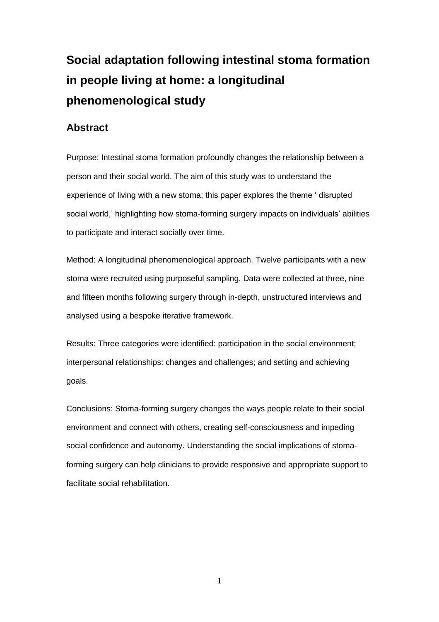# **Social adaptation following intestinal stoma formation in people living at home: a longitudinal phenomenological study**

# **Abstract**

Purpose: Intestinal stoma formation profoundly changes the relationship between a person and their social world. The aim of this study was to understand the experience of living with a new stoma; this paper explores the theme ' disrupted social world,' highlighting how stoma-forming surgery impacts on individuals' abilities to participate and interact socially over time.

Method: A longitudinal phenomenological approach. Twelve participants with a new stoma were recruited using purposeful sampling. Data were collected at three, nine and fifteen months following surgery through in-depth, unstructured interviews and analysed using a bespoke iterative framework.

Results: Three categories were identified: participation in the social environment; interpersonal relationships: changes and challenges; and setting and achieving goals.

Conclusions: Stoma-forming surgery changes the ways people relate to their social environment and connect with others, creating self-consciousness and impeding social confidence and autonomy. Understanding the social implications of stomaforming surgery can help clinicians to provide responsive and appropriate support to facilitate social rehabilitation.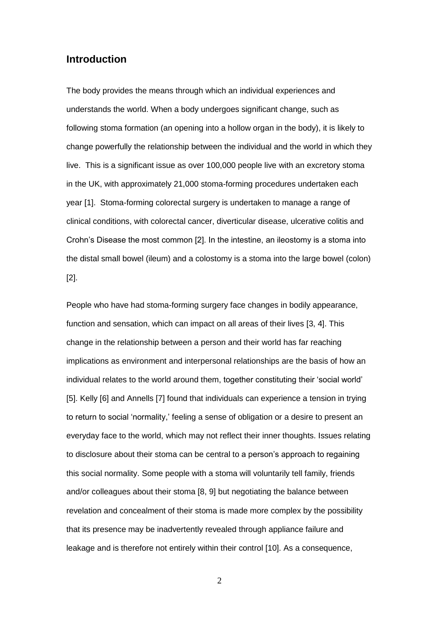## **Introduction**

The body provides the means through which an individual experiences and understands the world. When a body undergoes significant change, such as following stoma formation (an opening into a hollow organ in the body), it is likely to change powerfully the relationship between the individual and the world in which they live. This is a significant issue as over 100,000 people live with an excretory stoma in the UK, with approximately 21,000 stoma-forming procedures undertaken each year [1]. Stoma-forming colorectal surgery is undertaken to manage a range of clinical conditions, with colorectal cancer, diverticular disease, ulcerative colitis and Crohn's Disease the most common [2]. In the intestine, an ileostomy is a stoma into the distal small bowel (ileum) and a colostomy is a stoma into the large bowel (colon) [2].

People who have had stoma-forming surgery face changes in bodily appearance, function and sensation, which can impact on all areas of their lives [3, 4]. This change in the relationship between a person and their world has far reaching implications as environment and interpersonal relationships are the basis of how an individual relates to the world around them, together constituting their 'social world' [5]. Kelly [6] and Annells [7] found that individuals can experience a tension in trying to return to social 'normality,' feeling a sense of obligation or a desire to present an everyday face to the world, which may not reflect their inner thoughts. Issues relating to disclosure about their stoma can be central to a person's approach to regaining this social normality. Some people with a stoma will voluntarily tell family, friends and/or colleagues about their stoma [8, 9] but negotiating the balance between revelation and concealment of their stoma is made more complex by the possibility that its presence may be inadvertently revealed through appliance failure and leakage and is therefore not entirely within their control [10]. As a consequence,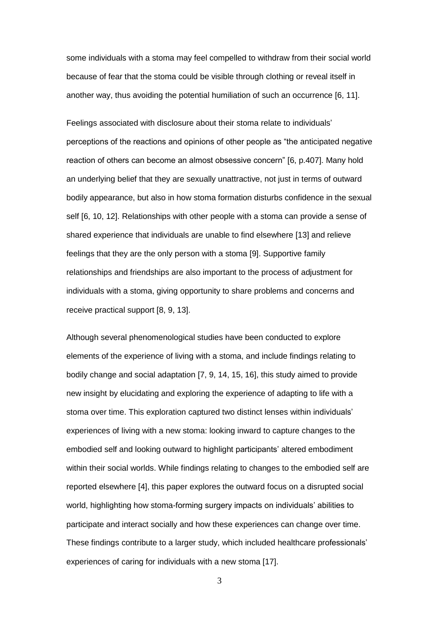some individuals with a stoma may feel compelled to withdraw from their social world because of fear that the stoma could be visible through clothing or reveal itself in another way, thus avoiding the potential humiliation of such an occurrence [6, 11].

Feelings associated with disclosure about their stoma relate to individuals' perceptions of the reactions and opinions of other people as "the anticipated negative reaction of others can become an almost obsessive concern" [6, p.407]. Many hold an underlying belief that they are sexually unattractive, not just in terms of outward bodily appearance, but also in how stoma formation disturbs confidence in the sexual self [6, 10, 12]. Relationships with other people with a stoma can provide a sense of shared experience that individuals are unable to find elsewhere [13] and relieve feelings that they are the only person with a stoma [9]. Supportive family relationships and friendships are also important to the process of adjustment for individuals with a stoma, giving opportunity to share problems and concerns and receive practical support [8, 9, 13].

Although several phenomenological studies have been conducted to explore elements of the experience of living with a stoma, and include findings relating to bodily change and social adaptation [7, 9, 14, 15, 16], this study aimed to provide new insight by elucidating and exploring the experience of adapting to life with a stoma over time. This exploration captured two distinct lenses within individuals' experiences of living with a new stoma: looking inward to capture changes to the embodied self and looking outward to highlight participants' altered embodiment within their social worlds. While findings relating to changes to the embodied self are reported elsewhere [4], this paper explores the outward focus on a disrupted social world, highlighting how stoma-forming surgery impacts on individuals' abilities to participate and interact socially and how these experiences can change over time. These findings contribute to a larger study, which included healthcare professionals' experiences of caring for individuals with a new stoma [17].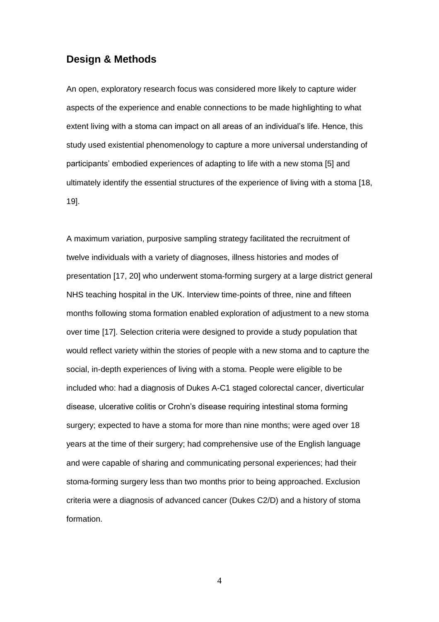## **Design & Methods**

An open, exploratory research focus was considered more likely to capture wider aspects of the experience and enable connections to be made highlighting to what extent living with a stoma can impact on all areas of an individual's life. Hence, this study used existential phenomenology to capture a more universal understanding of participants' embodied experiences of adapting to life with a new stoma [5] and ultimately identify the essential structures of the experience of living with a stoma [18, 19].

A maximum variation, purposive sampling strategy facilitated the recruitment of twelve individuals with a variety of diagnoses, illness histories and modes of presentation [17, 20] who underwent stoma-forming surgery at a large district general NHS teaching hospital in the UK. Interview time-points of three, nine and fifteen months following stoma formation enabled exploration of adjustment to a new stoma over time [17]. Selection criteria were designed to provide a study population that would reflect variety within the stories of people with a new stoma and to capture the social, in-depth experiences of living with a stoma. People were eligible to be included who: had a diagnosis of Dukes A-C1 staged colorectal cancer, diverticular disease, ulcerative colitis or Crohn's disease requiring intestinal stoma forming surgery; expected to have a stoma for more than nine months; were aged over 18 years at the time of their surgery; had comprehensive use of the English language and were capable of sharing and communicating personal experiences; had their stoma-forming surgery less than two months prior to being approached. Exclusion criteria were a diagnosis of advanced cancer (Dukes C2/D) and a history of stoma formation.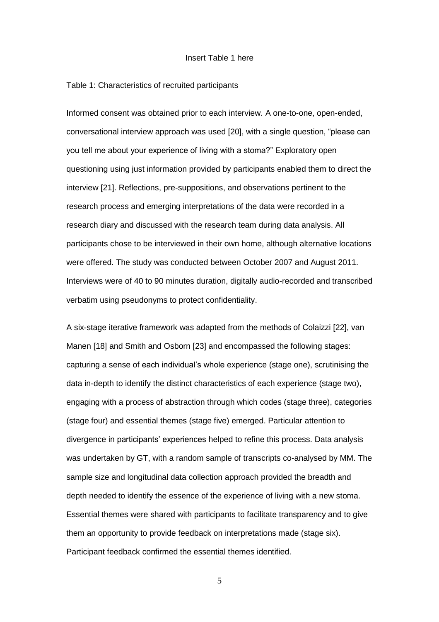#### Insert Table 1 here

#### Table 1: Characteristics of recruited participants

Informed consent was obtained prior to each interview. A one-to-one, open-ended, conversational interview approach was used [20], with a single question, "please can you tell me about your experience of living with a stoma?" Exploratory open questioning using just information provided by participants enabled them to direct the interview [21]. Reflections, pre-suppositions, and observations pertinent to the research process and emerging interpretations of the data were recorded in a research diary and discussed with the research team during data analysis. All participants chose to be interviewed in their own home, although alternative locations were offered. The study was conducted between October 2007 and August 2011. Interviews were of 40 to 90 minutes duration, digitally audio-recorded and transcribed verbatim using pseudonyms to protect confidentiality.

A six-stage iterative framework was adapted from the methods of Colaizzi [22], van Manen [18] and Smith and Osborn [23] and encompassed the following stages: capturing a sense of each individual's whole experience (stage one), scrutinising the data in-depth to identify the distinct characteristics of each experience (stage two), engaging with a process of abstraction through which codes (stage three), categories (stage four) and essential themes (stage five) emerged. Particular attention to divergence in participants' experiences helped to refine this process. Data analysis was undertaken by GT, with a random sample of transcripts co-analysed by MM. The sample size and longitudinal data collection approach provided the breadth and depth needed to identify the essence of the experience of living with a new stoma. Essential themes were shared with participants to facilitate transparency and to give them an opportunity to provide feedback on interpretations made (stage six). Participant feedback confirmed the essential themes identified.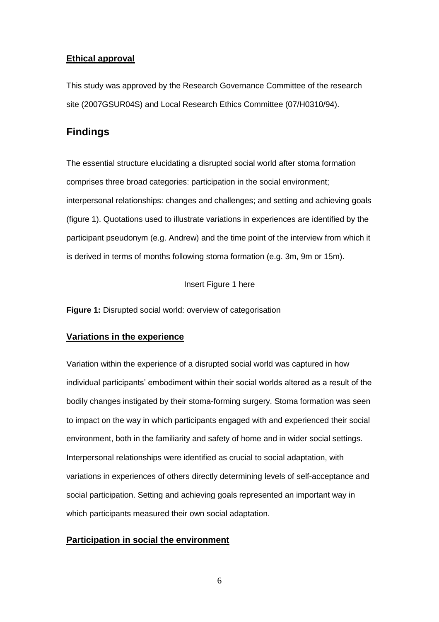## **Ethical approval**

This study was approved by the Research Governance Committee of the research site (2007GSUR04S) and Local Research Ethics Committee (07/H0310/94).

# **Findings**

The essential structure elucidating a disrupted social world after stoma formation comprises three broad categories: participation in the social environment; interpersonal relationships: changes and challenges; and setting and achieving goals (figure 1). Quotations used to illustrate variations in experiences are identified by the participant pseudonym (e.g. Andrew) and the time point of the interview from which it is derived in terms of months following stoma formation (e.g. 3m, 9m or 15m).

Insert Figure 1 here

**Figure 1:** Disrupted social world: overview of categorisation

## **Variations in the experience**

Variation within the experience of a disrupted social world was captured in how individual participants' embodiment within their social worlds altered as a result of the bodily changes instigated by their stoma-forming surgery. Stoma formation was seen to impact on the way in which participants engaged with and experienced their social environment, both in the familiarity and safety of home and in wider social settings. Interpersonal relationships were identified as crucial to social adaptation, with variations in experiences of others directly determining levels of self-acceptance and social participation. Setting and achieving goals represented an important way in which participants measured their own social adaptation.

## **Participation in social the environment**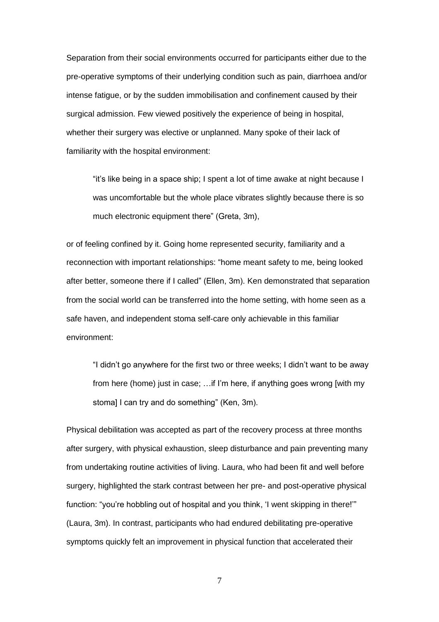Separation from their social environments occurred for participants either due to the pre-operative symptoms of their underlying condition such as pain, diarrhoea and/or intense fatigue, or by the sudden immobilisation and confinement caused by their surgical admission. Few viewed positively the experience of being in hospital, whether their surgery was elective or unplanned. Many spoke of their lack of familiarity with the hospital environment:

"it's like being in a space ship; I spent a lot of time awake at night because I was uncomfortable but the whole place vibrates slightly because there is so much electronic equipment there" (Greta, 3m),

or of feeling confined by it. Going home represented security, familiarity and a reconnection with important relationships: "home meant safety to me, being looked after better, someone there if I called" (Ellen, 3m). Ken demonstrated that separation from the social world can be transferred into the home setting, with home seen as a safe haven, and independent stoma self-care only achievable in this familiar environment:

"I didn't go anywhere for the first two or three weeks; I didn't want to be away from here (home) just in case; …if I'm here, if anything goes wrong [with my stoma] I can try and do something" (Ken, 3m).

Physical debilitation was accepted as part of the recovery process at three months after surgery, with physical exhaustion, sleep disturbance and pain preventing many from undertaking routine activities of living. Laura, who had been fit and well before surgery, highlighted the stark contrast between her pre- and post-operative physical function: "you're hobbling out of hospital and you think, 'I went skipping in there!'" (Laura, 3m). In contrast, participants who had endured debilitating pre-operative symptoms quickly felt an improvement in physical function that accelerated their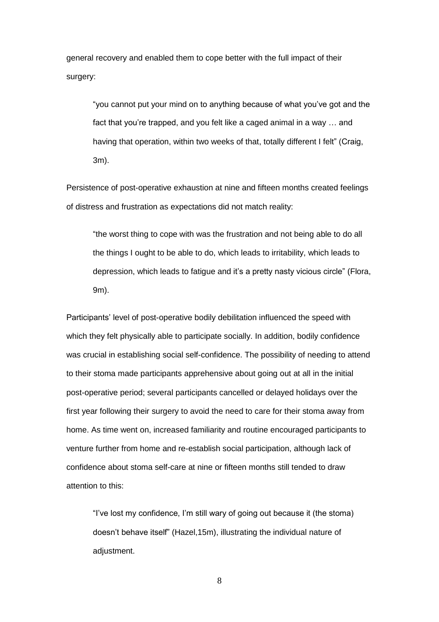general recovery and enabled them to cope better with the full impact of their surgery:

"you cannot put your mind on to anything because of what you've got and the fact that you're trapped, and you felt like a caged animal in a way … and having that operation, within two weeks of that, totally different I felt" (Craig, 3m).

Persistence of post-operative exhaustion at nine and fifteen months created feelings of distress and frustration as expectations did not match reality:

"the worst thing to cope with was the frustration and not being able to do all the things I ought to be able to do, which leads to irritability, which leads to depression, which leads to fatigue and it's a pretty nasty vicious circle" (Flora, 9m).

Participants' level of post-operative bodily debilitation influenced the speed with which they felt physically able to participate socially. In addition, bodily confidence was crucial in establishing social self-confidence. The possibility of needing to attend to their stoma made participants apprehensive about going out at all in the initial post-operative period; several participants cancelled or delayed holidays over the first year following their surgery to avoid the need to care for their stoma away from home. As time went on, increased familiarity and routine encouraged participants to venture further from home and re-establish social participation, although lack of confidence about stoma self-care at nine or fifteen months still tended to draw attention to this:

"I've lost my confidence, I'm still wary of going out because it (the stoma) doesn't behave itself" (Hazel,15m), illustrating the individual nature of adjustment.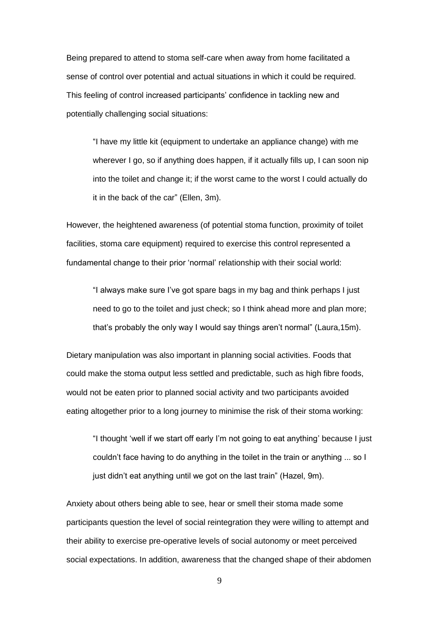Being prepared to attend to stoma self-care when away from home facilitated a sense of control over potential and actual situations in which it could be required. This feeling of control increased participants' confidence in tackling new and potentially challenging social situations:

"I have my little kit (equipment to undertake an appliance change) with me wherever I go, so if anything does happen, if it actually fills up, I can soon nip into the toilet and change it; if the worst came to the worst I could actually do it in the back of the car" (Ellen, 3m).

However, the heightened awareness (of potential stoma function, proximity of toilet facilities, stoma care equipment) required to exercise this control represented a fundamental change to their prior 'normal' relationship with their social world:

"I always make sure I've got spare bags in my bag and think perhaps I just heed to go to the toilet and just check; so I think ahead more and plan more; that's probably the only way I would say things aren't normal" (Laura,15m).

Dietary manipulation was also important in planning social activities. Foods that could make the stoma output less settled and predictable, such as high fibre foods, would not be eaten prior to planned social activity and two participants avoided eating altogether prior to a long journey to minimise the risk of their stoma working:

"I thought 'well if we start off early I'm not going to eat anything' because I just couldn't face having to do anything in the toilet in the train or anything ... so I just didn't eat anything until we got on the last train" (Hazel, 9m).

Anxiety about others being able to see, hear or smell their stoma made some participants question the level of social reintegration they were willing to attempt and their ability to exercise pre-operative levels of social autonomy or meet perceived social expectations. In addition, awareness that the changed shape of their abdomen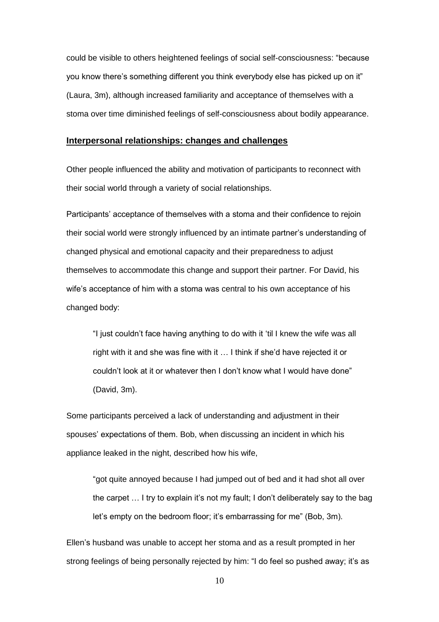could be visible to others heightened feelings of social self-consciousness: "because you know there's something different you think everybody else has picked up on it" (Laura, 3m), although increased familiarity and acceptance of themselves with a stoma over time diminished feelings of self-consciousness about bodily appearance.

#### **Interpersonal relationships: changes and challenges**

Other people influenced the ability and motivation of participants to reconnect with their social world through a variety of social relationships.

Participants' acceptance of themselves with a stoma and their confidence to rejoin their social world were strongly influenced by an intimate partner's understanding of changed physical and emotional capacity and their preparedness to adjust themselves to accommodate this change and support their partner. For David, his wife's acceptance of him with a stoma was central to his own acceptance of his changed body:

"I just couldn't face having anything to do with it 'til I knew the wife was all right with it and she was fine with it … I think if she'd have rejected it or couldn't look at it or whatever then I don't know what I would have done" (David, 3m).

Some participants perceived a lack of understanding and adjustment in their spouses' expectations of them. Bob, when discussing an incident in which his appliance leaked in the night, described how his wife,

"got quite annoyed because I had jumped out of bed and it had shot all over the carpet … I try to explain it's not my fault; I don't deliberately say to the bag let's empty on the bedroom floor; it's embarrassing for me" (Bob, 3m).

Ellen's husband was unable to accept her stoma and as a result prompted in her strong feelings of being personally rejected by him: "I do feel so pushed away; it's as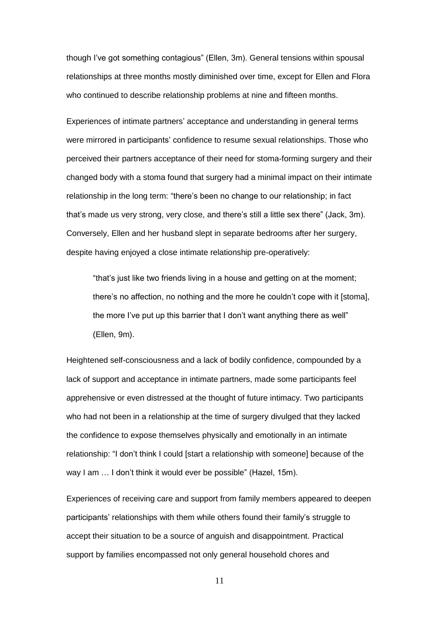though I've got something contagious" (Ellen, 3m). General tensions within spousal relationships at three months mostly diminished over time, except for Ellen and Flora who continued to describe relationship problems at nine and fifteen months.

Experiences of intimate partners' acceptance and understanding in general terms were mirrored in participants' confidence to resume sexual relationships. Those who perceived their partners acceptance of their need for stoma-forming surgery and their changed body with a stoma found that surgery had a minimal impact on their intimate relationship in the long term: "there's been no change to our relationship; in fact that's made us very strong, very close, and there's still a little sex there" (Jack, 3m). Conversely, Ellen and her husband slept in separate bedrooms after her surgery, despite having enjoyed a close intimate relationship pre-operatively:

"that's just like two friends living in a house and getting on at the moment; there's no affection, no nothing and the more he couldn't cope with it [stoma], the more I've put up this barrier that I don't want anything there as well" (Ellen, 9m).

Heightened self-consciousness and a lack of bodily confidence, compounded by a lack of support and acceptance in intimate partners, made some participants feel apprehensive or even distressed at the thought of future intimacy. Two participants who had not been in a relationship at the time of surgery divulged that they lacked the confidence to expose themselves physically and emotionally in an intimate relationship: "I don't think I could [start a relationship with someone] because of the way I am … I don't think it would ever be possible" (Hazel, 15m).

Experiences of receiving care and support from family members appeared to deepen participants' relationships with them while others found their family's struggle to accept their situation to be a source of anguish and disappointment. Practical support by families encompassed not only general household chores and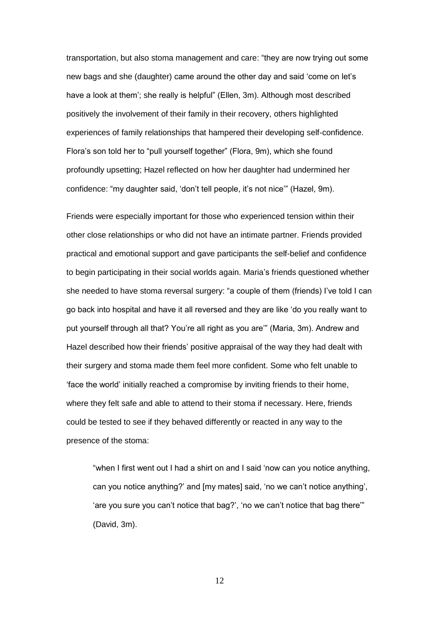transportation, but also stoma management and care: "they are now trying out some new bags and she (daughter) came around the other day and said 'come on let's have a look at them'; she really is helpful" (Ellen, 3m). Although most described positively the involvement of their family in their recovery, others highlighted experiences of family relationships that hampered their developing self-confidence. Flora's son told her to "pull yourself together" (Flora, 9m), which she found profoundly upsetting; Hazel reflected on how her daughter had undermined her confidence: "my daughter said, 'don't tell people, it's not nice'" (Hazel, 9m).

Friends were especially important for those who experienced tension within their other close relationships or who did not have an intimate partner. Friends provided practical and emotional support and gave participants the self-belief and confidence to begin participating in their social worlds again. Maria's friends questioned whether she needed to have stoma reversal surgery: "a couple of them (friends) I've told I can go back into hospital and have it all reversed and they are like 'do you really want to put yourself through all that? You're all right as you are'" (Maria, 3m). Andrew and Hazel described how their friends' positive appraisal of the way they had dealt with their surgery and stoma made them feel more confident. Some who felt unable to 'face the world' initially reached a compromise by inviting friends to their home, where they felt safe and able to attend to their stoma if necessary. Here, friends could be tested to see if they behaved differently or reacted in any way to the presence of the stoma:

"when I first went out I had a shirt on and I said 'now can you notice anything, can you notice anything?' and [my mates] said, 'no we can't notice anything', 'are you sure you can't notice that bag?', 'no we can't notice that bag there'" (David, 3m).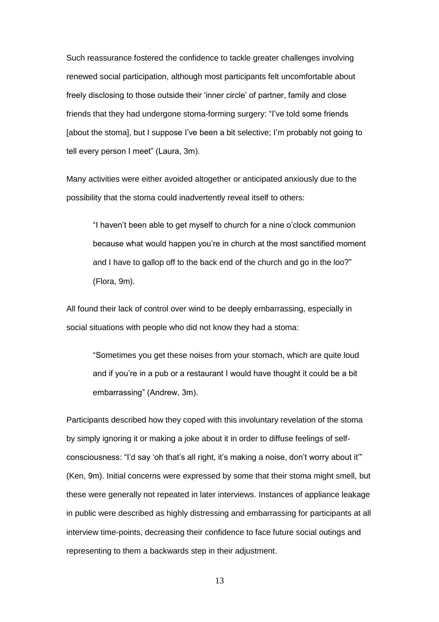Such reassurance fostered the confidence to tackle greater challenges involving renewed social participation, although most participants felt uncomfortable about freely disclosing to those outside their 'inner circle' of partner, family and close friends that they had undergone stoma-forming surgery: "I've told some friends [about the stoma], but I suppose I've been a bit selective; I'm probably not going to tell every person I meet" (Laura, 3m).

Many activities were either avoided altogether or anticipated anxiously due to the possibility that the stoma could inadvertently reveal itself to others:

"I haven't been able to get myself to church for a nine o'clock communion because what would happen you're in church at the most sanctified moment and I have to gallop off to the back end of the church and go in the loo?" (Flora, 9m).

All found their lack of control over wind to be deeply embarrassing, especially in social situations with people who did not know they had a stoma:

"Sometimes you get these noises from your stomach, which are quite loud and if you're in a pub or a restaurant I would have thought it could be a bit embarrassing" (Andrew, 3m).

Participants described how they coped with this involuntary revelation of the stoma by simply ignoring it or making a joke about it in order to diffuse feelings of selfconsciousness: "I'd say 'oh that's all right, it's making a noise, don't worry about it'" (Ken, 9m). Initial concerns were expressed by some that their stoma might smell, but these were generally not repeated in later interviews. Instances of appliance leakage in public were described as highly distressing and embarrassing for participants at all interview time-points, decreasing their confidence to face future social outings and representing to them a backwards step in their adjustment.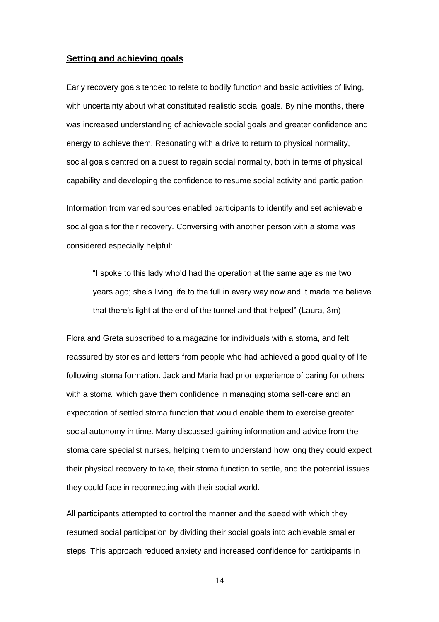#### **Setting and achieving goals**

Early recovery goals tended to relate to bodily function and basic activities of living, with uncertainty about what constituted realistic social goals. By nine months, there was increased understanding of achievable social goals and greater confidence and energy to achieve them. Resonating with a drive to return to physical normality, social goals centred on a quest to regain social normality, both in terms of physical capability and developing the confidence to resume social activity and participation.

Information from varied sources enabled participants to identify and set achievable social goals for their recovery. Conversing with another person with a stoma was considered especially helpful:

"I spoke to this lady who'd had the operation at the same age as me two years ago; she's living life to the full in every way now and it made me believe that there's light at the end of the tunnel and that helped" (Laura, 3m)

Flora and Greta subscribed to a magazine for individuals with a stoma, and felt reassured by stories and letters from people who had achieved a good quality of life following stoma formation. Jack and Maria had prior experience of caring for others with a stoma, which gave them confidence in managing stoma self-care and an expectation of settled stoma function that would enable them to exercise greater social autonomy in time. Many discussed gaining information and advice from the stoma care specialist nurses, helping them to understand how long they could expect their physical recovery to take, their stoma function to settle, and the potential issues they could face in reconnecting with their social world.

All participants attempted to control the manner and the speed with which they resumed social participation by dividing their social goals into achievable smaller steps. This approach reduced anxiety and increased confidence for participants in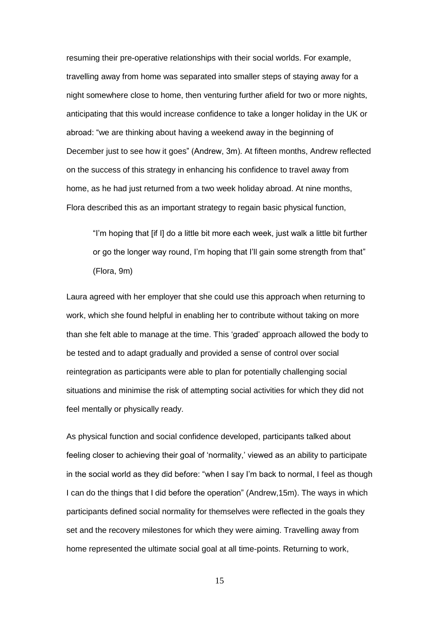resuming their pre-operative relationships with their social worlds. For example, travelling away from home was separated into smaller steps of staying away for a night somewhere close to home, then venturing further afield for two or more nights, anticipating that this would increase confidence to take a longer holiday in the UK or abroad: "we are thinking about having a weekend away in the beginning of December just to see how it goes" (Andrew, 3m). At fifteen months, Andrew reflected on the success of this strategy in enhancing his confidence to travel away from home, as he had just returned from a two week holiday abroad. At nine months, Flora described this as an important strategy to regain basic physical function,

"I'm hoping that [if I] do a little bit more each week, just walk a little bit further or go the longer way round, I'm hoping that I'll gain some strength from that" (Flora, 9m)

Laura agreed with her employer that she could use this approach when returning to work, which she found helpful in enabling her to contribute without taking on more than she felt able to manage at the time. This 'graded' approach allowed the body to be tested and to adapt gradually and provided a sense of control over social reintegration as participants were able to plan for potentially challenging social situations and minimise the risk of attempting social activities for which they did not feel mentally or physically ready.

As physical function and social confidence developed, participants talked about feeling closer to achieving their goal of 'normality,' viewed as an ability to participate in the social world as they did before: "when I say I'm back to normal, I feel as though I can do the things that I did before the operation" (Andrew,15m). The ways in which participants defined social normality for themselves were reflected in the goals they set and the recovery milestones for which they were aiming. Travelling away from home represented the ultimate social goal at all time-points. Returning to work,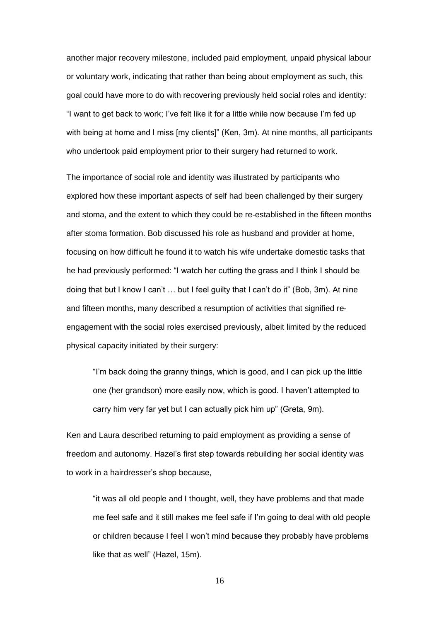another major recovery milestone, included paid employment, unpaid physical labour or voluntary work, indicating that rather than being about employment as such, this goal could have more to do with recovering previously held social roles and identity: "I want to get back to work; I've felt like it for a little while now because I'm fed up with being at home and I miss [my clients]" (Ken, 3m). At nine months, all participants who undertook paid employment prior to their surgery had returned to work.

The importance of social role and identity was illustrated by participants who explored how these important aspects of self had been challenged by their surgery and stoma, and the extent to which they could be re-established in the fifteen months after stoma formation. Bob discussed his role as husband and provider at home, focusing on how difficult he found it to watch his wife undertake domestic tasks that he had previously performed: "I watch her cutting the grass and I think I should be doing that but I know I can't … but I feel guilty that I can't do it" (Bob, 3m). At nine and fifteen months, many described a resumption of activities that signified reengagement with the social roles exercised previously, albeit limited by the reduced physical capacity initiated by their surgery:

"I'm back doing the granny things, which is good, and I can pick up the little one (her grandson) more easily now, which is good. I haven't attempted to carry him very far yet but I can actually pick him up" (Greta, 9m).

Ken and Laura described returning to paid employment as providing a sense of freedom and autonomy. Hazel's first step towards rebuilding her social identity was to work in a hairdresser's shop because,

"it was all old people and I thought, well, they have problems and that made me feel safe and it still makes me feel safe if I'm going to deal with old people or children because I feel I won't mind because they probably have problems like that as well" (Hazel, 15m).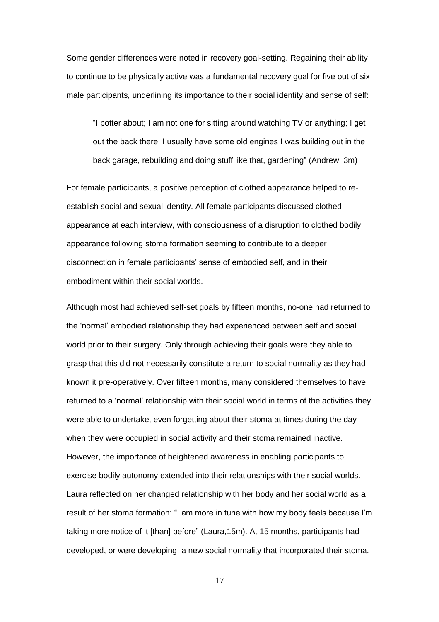Some gender differences were noted in recovery goal-setting. Regaining their ability to continue to be physically active was a fundamental recovery goal for five out of six male participants, underlining its importance to their social identity and sense of self:

"I potter about; I am not one for sitting around watching TV or anything; I get out the back there; I usually have some old engines I was building out in the back garage, rebuilding and doing stuff like that, gardening" (Andrew, 3m)

For female participants, a positive perception of clothed appearance helped to reestablish social and sexual identity. All female participants discussed clothed appearance at each interview, with consciousness of a disruption to clothed bodily appearance following stoma formation seeming to contribute to a deeper disconnection in female participants' sense of embodied self, and in their embodiment within their social worlds.

Although most had achieved self-set goals by fifteen months, no-one had returned to the 'normal' embodied relationship they had experienced between self and social world prior to their surgery. Only through achieving their goals were they able to grasp that this did not necessarily constitute a return to social normality as they had known it pre-operatively. Over fifteen months, many considered themselves to have returned to a 'normal' relationship with their social world in terms of the activities they were able to undertake, even forgetting about their stoma at times during the day when they were occupied in social activity and their stoma remained inactive. However, the importance of heightened awareness in enabling participants to exercise bodily autonomy extended into their relationships with their social worlds. Laura reflected on her changed relationship with her body and her social world as a result of her stoma formation: "I am more in tune with how my body feels because I'm taking more notice of it [than] before" (Laura,15m). At 15 months, participants had developed, or were developing, a new social normality that incorporated their stoma.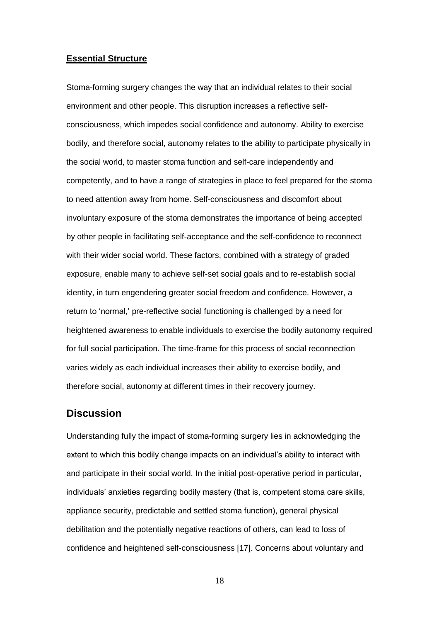#### **Essential Structure**

Stoma-forming surgery changes the way that an individual relates to their social environment and other people. This disruption increases a reflective selfconsciousness, which impedes social confidence and autonomy. Ability to exercise bodily, and therefore social, autonomy relates to the ability to participate physically in the social world, to master stoma function and self-care independently and competently, and to have a range of strategies in place to feel prepared for the stoma to need attention away from home. Self-consciousness and discomfort about involuntary exposure of the stoma demonstrates the importance of being accepted by other people in facilitating self-acceptance and the self-confidence to reconnect with their wider social world. These factors, combined with a strategy of graded exposure, enable many to achieve self-set social goals and to re-establish social identity, in turn engendering greater social freedom and confidence. However, a return to 'normal,' pre-reflective social functioning is challenged by a need for heightened awareness to enable individuals to exercise the bodily autonomy required for full social participation. The time-frame for this process of social reconnection varies widely as each individual increases their ability to exercise bodily, and therefore social, autonomy at different times in their recovery journey.

## **Discussion**

Understanding fully the impact of stoma-forming surgery lies in acknowledging the extent to which this bodily change impacts on an individual's ability to interact with and participate in their social world. In the initial post-operative period in particular, individuals' anxieties regarding bodily mastery (that is, competent stoma care skills, appliance security, predictable and settled stoma function), general physical debilitation and the potentially negative reactions of others, can lead to loss of confidence and heightened self-consciousness [17]. Concerns about voluntary and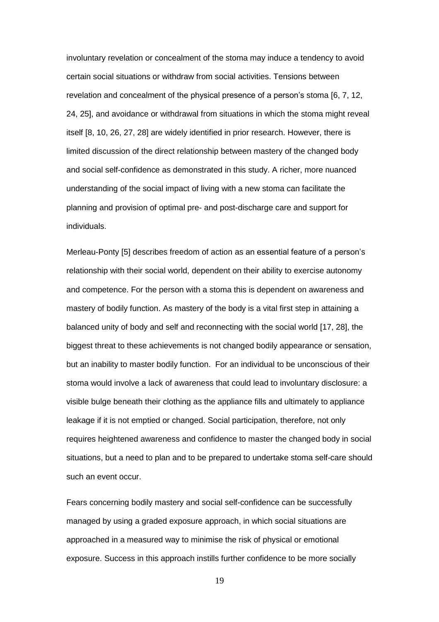involuntary revelation or concealment of the stoma may induce a tendency to avoid certain social situations or withdraw from social activities. Tensions between revelation and concealment of the physical presence of a person's stoma [6, 7, 12, 24, 25], and avoidance or withdrawal from situations in which the stoma might reveal itself [8, 10, 26, 27, 28] are widely identified in prior research. However, there is limited discussion of the direct relationship between mastery of the changed body and social self-confidence as demonstrated in this study. A richer, more nuanced understanding of the social impact of living with a new stoma can facilitate the planning and provision of optimal pre- and post-discharge care and support for individuals.

Merleau-Ponty [5] describes freedom of action as an essential feature of a person's relationship with their social world, dependent on their ability to exercise autonomy and competence. For the person with a stoma this is dependent on awareness and mastery of bodily function. As mastery of the body is a vital first step in attaining a balanced unity of body and self and reconnecting with the social world [17, 28], the biggest threat to these achievements is not changed bodily appearance or sensation, but an inability to master bodily function. For an individual to be unconscious of their stoma would involve a lack of awareness that could lead to involuntary disclosure: a visible bulge beneath their clothing as the appliance fills and ultimately to appliance leakage if it is not emptied or changed. Social participation, therefore, not only requires heightened awareness and confidence to master the changed body in social situations, but a need to plan and to be prepared to undertake stoma self-care should such an event occur.

Fears concerning bodily mastery and social self-confidence can be successfully managed by using a graded exposure approach, in which social situations are approached in a measured way to minimise the risk of physical or emotional exposure. Success in this approach instills further confidence to be more socially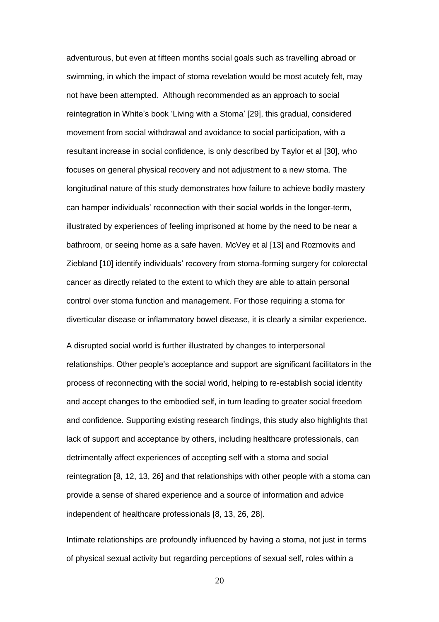adventurous, but even at fifteen months social goals such as travelling abroad or swimming, in which the impact of stoma revelation would be most acutely felt, may not have been attempted. Although recommended as an approach to social reintegration in White's book 'Living with a Stoma' [29], this gradual, considered movement from social withdrawal and avoidance to social participation, with a resultant increase in social confidence, is only described by Taylor et al [30], who focuses on general physical recovery and not adjustment to a new stoma. The longitudinal nature of this study demonstrates how failure to achieve bodily mastery can hamper individuals' reconnection with their social worlds in the longer-term, illustrated by experiences of feeling imprisoned at home by the need to be near a bathroom, or seeing home as a safe haven. McVey et al [13] and Rozmovits and Ziebland [10] identify individuals' recovery from stoma-forming surgery for colorectal cancer as directly related to the extent to which they are able to attain personal control over stoma function and management. For those requiring a stoma for diverticular disease or inflammatory bowel disease, it is clearly a similar experience.

A disrupted social world is further illustrated by changes to interpersonal relationships. Other people's acceptance and support are significant facilitators in the process of reconnecting with the social world, helping to re-establish social identity and accept changes to the embodied self, in turn leading to greater social freedom and confidence. Supporting existing research findings, this study also highlights that lack of support and acceptance by others, including healthcare professionals, can detrimentally affect experiences of accepting self with a stoma and social reintegration [8, 12, 13, 26] and that relationships with other people with a stoma can provide a sense of shared experience and a source of information and advice independent of healthcare professionals [8, 13, 26, 28].

Intimate relationships are profoundly influenced by having a stoma, not just in terms of physical sexual activity but regarding perceptions of sexual self, roles within a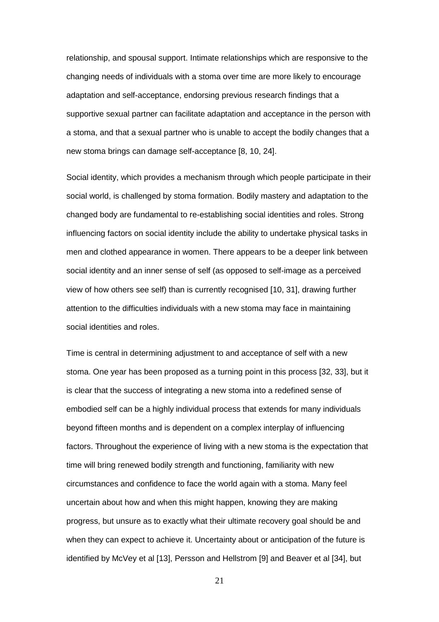relationship, and spousal support. Intimate relationships which are responsive to the changing needs of individuals with a stoma over time are more likely to encourage adaptation and self-acceptance, endorsing previous research findings that a supportive sexual partner can facilitate adaptation and acceptance in the person with a stoma, and that a sexual partner who is unable to accept the bodily changes that a new stoma brings can damage self-acceptance [8, 10, 24].

Social identity, which provides a mechanism through which people participate in their social world, is challenged by stoma formation. Bodily mastery and adaptation to the changed body are fundamental to re-establishing social identities and roles. Strong influencing factors on social identity include the ability to undertake physical tasks in men and clothed appearance in women. There appears to be a deeper link between social identity and an inner sense of self (as opposed to self-image as a perceived view of how others see self) than is currently recognised [10, 31], drawing further attention to the difficulties individuals with a new stoma may face in maintaining social identities and roles.

Time is central in determining adjustment to and acceptance of self with a new stoma. One year has been proposed as a turning point in this process [32, 33], but it is clear that the success of integrating a new stoma into a redefined sense of embodied self can be a highly individual process that extends for many individuals beyond fifteen months and is dependent on a complex interplay of influencing factors. Throughout the experience of living with a new stoma is the expectation that time will bring renewed bodily strength and functioning, familiarity with new circumstances and confidence to face the world again with a stoma. Many feel uncertain about how and when this might happen, knowing they are making progress, but unsure as to exactly what their ultimate recovery goal should be and when they can expect to achieve it. Uncertainty about or anticipation of the future is identified by McVey et al [13], Persson and Hellstrom [9] and Beaver et al [34], but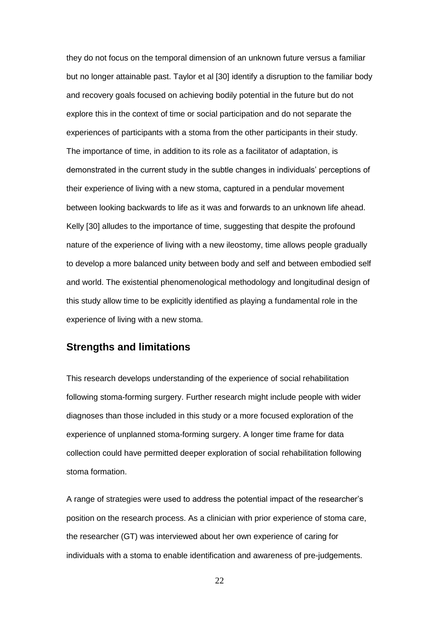they do not focus on the temporal dimension of an unknown future versus a familiar but no longer attainable past. Taylor et al [30] identify a disruption to the familiar body and recovery goals focused on achieving bodily potential in the future but do not explore this in the context of time or social participation and do not separate the experiences of participants with a stoma from the other participants in their study. The importance of time, in addition to its role as a facilitator of adaptation, is demonstrated in the current study in the subtle changes in individuals' perceptions of their experience of living with a new stoma, captured in a pendular movement between looking backwards to life as it was and forwards to an unknown life ahead. Kelly [30] alludes to the importance of time, suggesting that despite the profound nature of the experience of living with a new ileostomy, time allows people gradually to develop a more balanced unity between body and self and between embodied self and world. The existential phenomenological methodology and longitudinal design of this study allow time to be explicitly identified as playing a fundamental role in the experience of living with a new stoma.

## **Strengths and limitations**

This research develops understanding of the experience of social rehabilitation following stoma-forming surgery. Further research might include people with wider diagnoses than those included in this study or a more focused exploration of the experience of unplanned stoma-forming surgery. A longer time frame for data collection could have permitted deeper exploration of social rehabilitation following stoma formation.

A range of strategies were used to address the potential impact of the researcher's position on the research process. As a clinician with prior experience of stoma care, the researcher (GT) was interviewed about her own experience of caring for individuals with a stoma to enable identification and awareness of pre-judgements.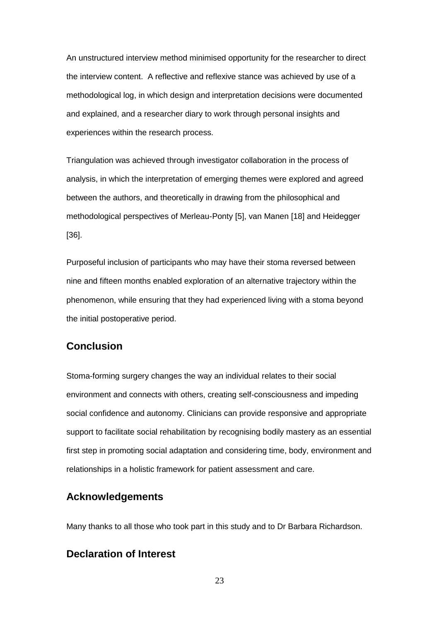An unstructured interview method minimised opportunity for the researcher to direct the interview content. A reflective and reflexive stance was achieved by use of a methodological log, in which design and interpretation decisions were documented and explained, and a researcher diary to work through personal insights and experiences within the research process.

Triangulation was achieved through investigator collaboration in the process of analysis, in which the interpretation of emerging themes were explored and agreed between the authors, and theoretically in drawing from the philosophical and methodological perspectives of Merleau-Ponty [5], van Manen [18] and Heidegger [36].

Purposeful inclusion of participants who may have their stoma reversed between nine and fifteen months enabled exploration of an alternative trajectory within the phenomenon, while ensuring that they had experienced living with a stoma beyond the initial postoperative period.

# **Conclusion**

Stoma-forming surgery changes the way an individual relates to their social environment and connects with others, creating self-consciousness and impeding social confidence and autonomy. Clinicians can provide responsive and appropriate support to facilitate social rehabilitation by recognising bodily mastery as an essential first step in promoting social adaptation and considering time, body, environment and relationships in a holistic framework for patient assessment and care.

## **Acknowledgements**

Many thanks to all those who took part in this study and to Dr Barbara Richardson.

# **Declaration of Interest**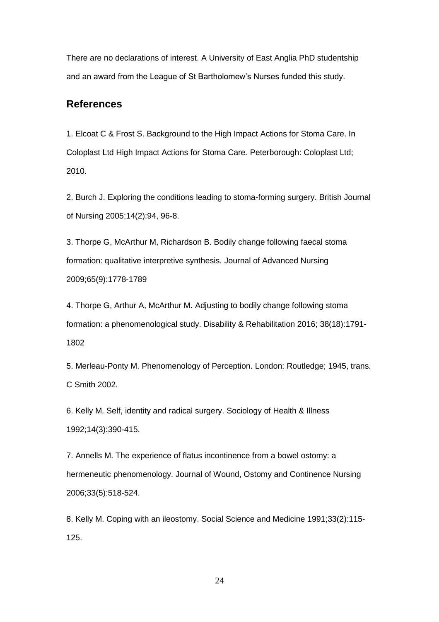There are no declarations of interest. A University of East Anglia PhD studentship and an award from the League of St Bartholomew's Nurses funded this study.

# **References**

1. Elcoat C & Frost S. Background to the High Impact Actions for Stoma Care. In Coloplast Ltd High Impact Actions for Stoma Care*.* Peterborough: Coloplast Ltd; 2010.

2. Burch J. Exploring the conditions leading to stoma-forming surgery. British Journal of Nursing 2005;14(2):94, 96-8.

3. Thorpe G, McArthur M, Richardson B. Bodily change following faecal stoma formation: qualitative interpretive synthesis. Journal of Advanced Nursing 2009;65(9):1778-1789

4. Thorpe G, Arthur A, McArthur M. Adjusting to bodily change following stoma formation: a phenomenological study. Disability & Rehabilitation 2016; 38(18):1791- 1802

5. Merleau-Ponty M. Phenomenology of Perception. London: Routledge; 1945, trans. C Smith 2002.

6. Kelly M. Self, identity and radical surgery. Sociology of Health & Illness 1992;14(3):390-415.

7. Annells M. The experience of flatus incontinence from a bowel ostomy: a hermeneutic phenomenology. Journal of Wound, Ostomy and Continence Nursing 2006;33(5):518-524.

8. Kelly M. Coping with an ileostomy. Social Science and Medicine 1991;33(2):115- 125.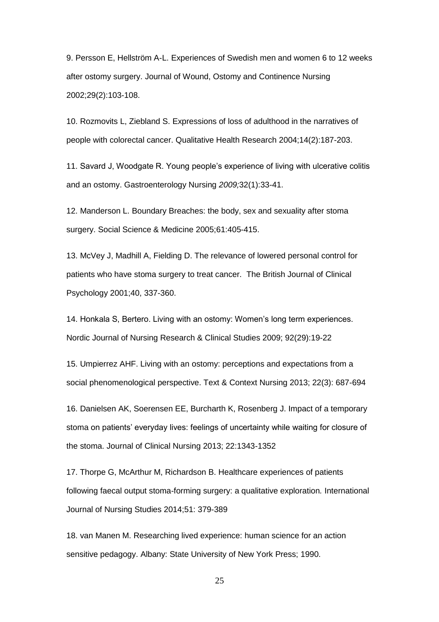9. Persson E, Hellström A-L. Experiences of Swedish men and women 6 to 12 weeks after ostomy surgery. Journal of Wound, Ostomy and Continence Nursing 2002;29(2):103-108.

10. Rozmovits L, Ziebland S. Expressions of loss of adulthood in the narratives of people with colorectal cancer. Qualitative Health Research 2004;14(2):187-203.

11. Savard J, Woodgate R. Young people's experience of living with ulcerative colitis and an ostomy. Gastroenterology Nursing *2009;*32(1):33-41.

12. Manderson L. Boundary Breaches: the body, sex and sexuality after stoma surgery. Social Science & Medicine 2005;61:405-415.

13. McVey J, Madhill A, Fielding D. The relevance of lowered personal control for patients who have stoma surgery to treat cancer. The British Journal of Clinical Psychology 2001;40, 337-360.

14. Honkala S, Bertero. Living with an ostomy: Women's long term experiences. Nordic Journal of Nursing Research & Clinical Studies 2009; 92(29):19-22

15. Umpierrez AHF. Living with an ostomy: perceptions and expectations from a social phenomenological perspective. Text & Context Nursing 2013; 22(3): 687-694

16. Danielsen AK, Soerensen EE, Burcharth K, Rosenberg J. Impact of a temporary stoma on patients' everyday lives: feelings of uncertainty while waiting for closure of the stoma. Journal of Clinical Nursing 2013; 22:1343-1352

17. Thorpe G, McArthur M, Richardson B. Healthcare experiences of patients following faecal output stoma-forming surgery: a qualitative exploration*.* International Journal of Nursing Studies 2014;51: 379-389

18. van Manen M. Researching lived experience: human science for an action sensitive pedagogy. Albany: State University of New York Press; 1990.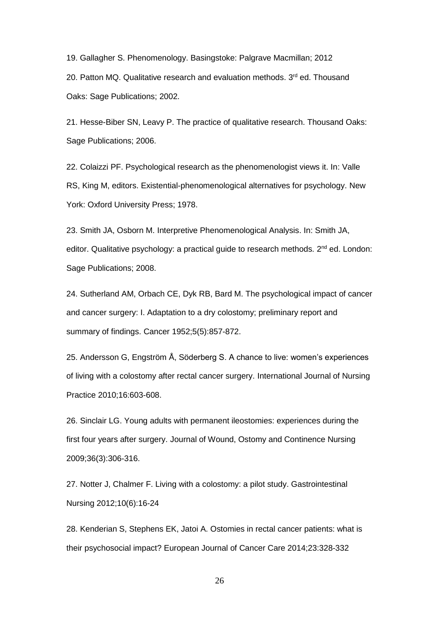19. Gallagher S. Phenomenology. Basingstoke: Palgrave Macmillan; 2012 20. Patton MQ. Qualitative research and evaluation methods. 3<sup>rd</sup> ed. Thousand Oaks: Sage Publications; 2002.

21. Hesse-Biber SN, Leavy P. The practice of qualitative research. Thousand Oaks: Sage Publications; 2006.

22. Colaizzi PF. Psychological research as the phenomenologist views it. In: Valle RS, King M, editors. Existential-phenomenological alternatives for psychology. New York: Oxford University Press; 1978.

23. Smith JA, Osborn M. Interpretive Phenomenological Analysis. In: Smith JA, editor. Qualitative psychology: a practical guide to research methods*.* 2<sup>nd</sup> ed. London: Sage Publications; 2008.

24. Sutherland AM, Orbach CE, Dyk RB, Bard M. The psychological impact of cancer and cancer surgery: I. Adaptation to a dry colostomy; preliminary report and summary of findings. Cancer 1952;5(5):857-872.

25. Andersson G, Engström Å, Söderberg S. A chance to live: women's experiences of living with a colostomy after rectal cancer surgery. International Journal of Nursing Practice 2010;16:603-608.

26. Sinclair LG. Young adults with permanent ileostomies: experiences during the first four years after surgery. Journal of Wound, Ostomy and Continence Nursing 2009;36(3):306-316.

27. Notter J, Chalmer F. Living with a colostomy: a pilot study. Gastrointestinal Nursing 2012;10(6):16-24

28. Kenderian S, Stephens EK, Jatoi A. Ostomies in rectal cancer patients: what is their psychosocial impact? European Journal of Cancer Care 2014;23:328-332